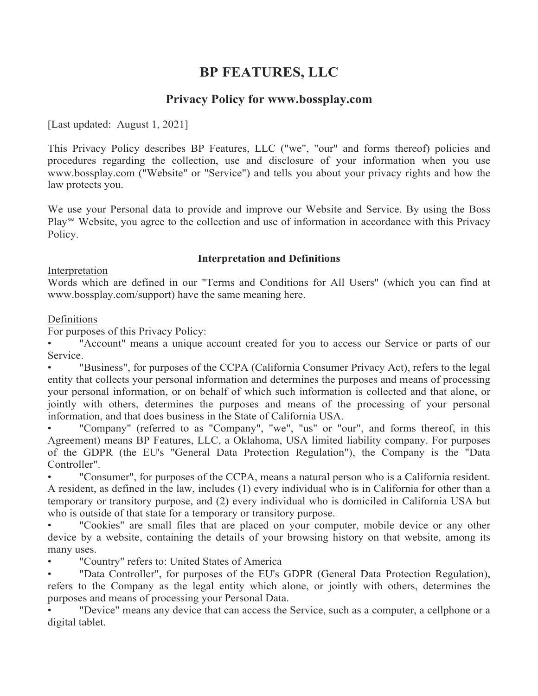# **BP FEATURES, LLC**

# **Privacy Policy for www.bossplay.com**

[Last updated: August 1, 2021]

This Privacy Policy describes BP Features, LLC ("we", "our" and forms thereof) policies and procedures regarding the collection, use and disclosure of your information when you use www.bossplay.com ("Website" or "Service") and tells you about your privacy rights and how the law protects you.

We use your Personal data to provide and improve our Website and Service. By using the Boss Play<sup>™</sup> Website, you agree to the collection and use of information in accordance with this Privacy Policy.

## **Interpretation and Definitions**

#### Interpretation

Words which are defined in our "Terms and Conditions for All Users" (which you can find at www.bossplay.com/support) have the same meaning here.

## Definitions

For purposes of this Privacy Policy:

"Account" means a unique account created for you to access our Service or parts of our Service.

"Business", for purposes of the CCPA (California Consumer Privacy Act), refers to the legal entity that collects your personal information and determines the purposes and means of processing your personal information, or on behalf of which such information is collected and that alone, or jointly with others, determines the purposes and means of the processing of your personal information, and that does business in the State of California USA.

"Company" (referred to as "Company", "we", "us" or "our", and forms thereof, in this Agreement) means BP Features, LLC, a Oklahoma, USA limited liability company. For purposes of the GDPR (the EU's "General Data Protection Regulation"), the Company is the "Data Controller".

• "Consumer", for purposes of the CCPA, means a natural person who is a California resident. A resident, as defined in the law, includes (1) every individual who is in California for other than a temporary or transitory purpose, and (2) every individual who is domiciled in California USA but who is outside of that state for a temporary or transitory purpose.

"Cookies" are small files that are placed on your computer, mobile device or any other device by a website, containing the details of your browsing history on that website, among its many uses.

• "Country" refers to: United States of America

"Data Controller", for purposes of the EU's GDPR (General Data Protection Regulation), refers to the Company as the legal entity which alone, or jointly with others, determines the purposes and means of processing your Personal Data.

• "Device" means any device that can access the Service, such as a computer, a cellphone or a digital tablet.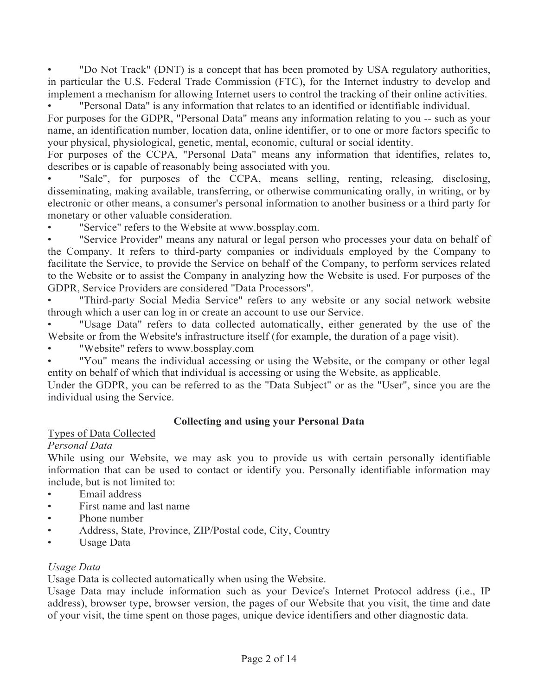• "Do Not Track" (DNT) is a concept that has been promoted by USA regulatory authorities, in particular the U.S. Federal Trade Commission (FTC), for the Internet industry to develop and implement a mechanism for allowing Internet users to control the tracking of their online activities. • "Personal Data" is any information that relates to an identified or identifiable individual.

For purposes for the GDPR, "Personal Data" means any information relating to you -- such as your name, an identification number, location data, online identifier, or to one or more factors specific to your physical, physiological, genetic, mental, economic, cultural or social identity.

For purposes of the CCPA, "Personal Data" means any information that identifies, relates to, describes or is capable of reasonably being associated with you.

"Sale", for purposes of the CCPA, means selling, renting, releasing, disclosing, disseminating, making available, transferring, or otherwise communicating orally, in writing, or by electronic or other means, a consumer's personal information to another business or a third party for monetary or other valuable consideration.

• "Service" refers to the Website at www.bossplay.com.

"Service Provider" means any natural or legal person who processes your data on behalf of the Company. It refers to third-party companies or individuals employed by the Company to facilitate the Service, to provide the Service on behalf of the Company, to perform services related to the Website or to assist the Company in analyzing how the Website is used. For purposes of the GDPR, Service Providers are considered "Data Processors".

• "Third-party Social Media Service" refers to any website or any social network website through which a user can log in or create an account to use our Service.

• "Usage Data" refers to data collected automatically, either generated by the use of the Website or from the Website's infrastructure itself (for example, the duration of a page visit).

• "Website" refers to www.bossplay.com

• "You" means the individual accessing or using the Website, or the company or other legal entity on behalf of which that individual is accessing or using the Website, as applicable.

Under the GDPR, you can be referred to as the "Data Subject" or as the "User", since you are the individual using the Service.

## **Collecting and using your Personal Data**

#### Types of Data Collected

## *Personal Data*

While using our Website, we may ask you to provide us with certain personally identifiable information that can be used to contact or identify you. Personally identifiable information may include, but is not limited to:

- Email address
- First name and last name
- Phone number
- Address, State, Province, ZIP/Postal code, City, Country
- Usage Data

## *Usage Data*

Usage Data is collected automatically when using the Website.

Usage Data may include information such as your Device's Internet Protocol address (i.e., IP address), browser type, browser version, the pages of our Website that you visit, the time and date of your visit, the time spent on those pages, unique device identifiers and other diagnostic data.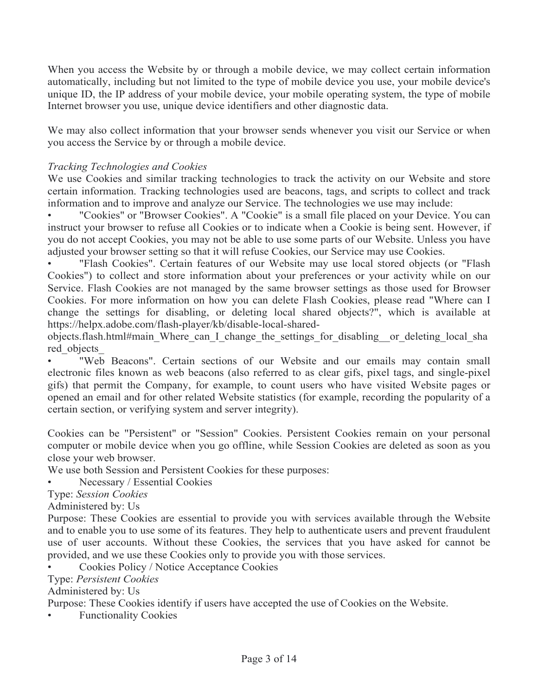When you access the Website by or through a mobile device, we may collect certain information automatically, including but not limited to the type of mobile device you use, your mobile device's unique ID, the IP address of your mobile device, your mobile operating system, the type of mobile Internet browser you use, unique device identifiers and other diagnostic data.

We may also collect information that your browser sends whenever you visit our Service or when you access the Service by or through a mobile device.

#### *Tracking Technologies and Cookies*

We use Cookies and similar tracking technologies to track the activity on our Website and store certain information. Tracking technologies used are beacons, tags, and scripts to collect and track information and to improve and analyze our Service. The technologies we use may include:

• "Cookies" or "Browser Cookies". A "Cookie" is a small file placed on your Device. You can instruct your browser to refuse all Cookies or to indicate when a Cookie is being sent. However, if you do not accept Cookies, you may not be able to use some parts of our Website. Unless you have adjusted your browser setting so that it will refuse Cookies, our Service may use Cookies.

• "Flash Cookies". Certain features of our Website may use local stored objects (or "Flash Cookies") to collect and store information about your preferences or your activity while on our Service. Flash Cookies are not managed by the same browser settings as those used for Browser Cookies. For more information on how you can delete Flash Cookies, please read "Where can I change the settings for disabling, or deleting local shared objects?", which is available at https://helpx.adobe.com/flash-player/kb/disable-local-shared-

objects.flash.html#main\_Where\_can\_I\_change\_the\_settings\_for\_disabling\_\_or\_deleting\_local\_sha red\_objects\_

"Web Beacons". Certain sections of our Website and our emails may contain small electronic files known as web beacons (also referred to as clear gifs, pixel tags, and single-pixel gifs) that permit the Company, for example, to count users who have visited Website pages or opened an email and for other related Website statistics (for example, recording the popularity of a certain section, or verifying system and server integrity).

Cookies can be "Persistent" or "Session" Cookies. Persistent Cookies remain on your personal computer or mobile device when you go offline, while Session Cookies are deleted as soon as you close your web browser.

We use both Session and Persistent Cookies for these purposes:

• Necessary / Essential Cookies

Type: *Session Cookies*

Administered by: Us

Purpose: These Cookies are essential to provide you with services available through the Website and to enable you to use some of its features. They help to authenticate users and prevent fraudulent use of user accounts. Without these Cookies, the services that you have asked for cannot be provided, and we use these Cookies only to provide you with those services.

• Cookies Policy / Notice Acceptance Cookies

Type: *Persistent Cookies*

Administered by: Us

Purpose: These Cookies identify if users have accepted the use of Cookies on the Website.

**Functionality Cookies**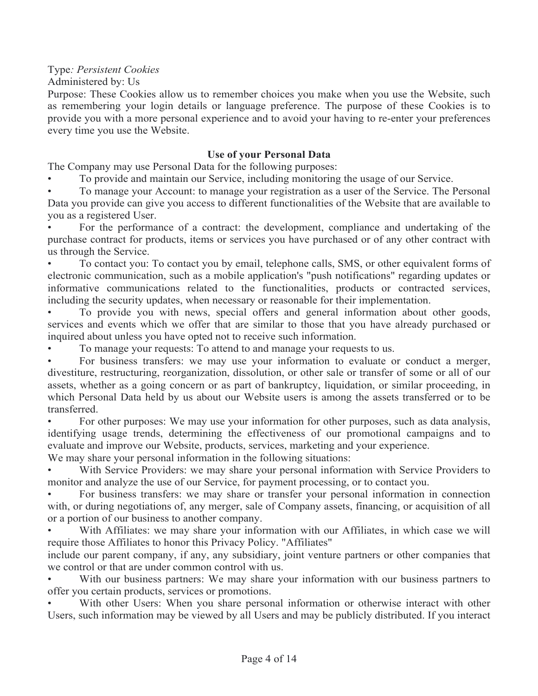Type*: Persistent Cookies*

Administered by: Us

Purpose: These Cookies allow us to remember choices you make when you use the Website, such as remembering your login details or language preference. The purpose of these Cookies is to provide you with a more personal experience and to avoid your having to re-enter your preferences every time you use the Website.

#### **Use of your Personal Data**

The Company may use Personal Data for the following purposes:

• To provide and maintain our Service, including monitoring the usage of our Service.

• To manage your Account: to manage your registration as a user of the Service. The Personal Data you provide can give you access to different functionalities of the Website that are available to you as a registered User.

For the performance of a contract: the development, compliance and undertaking of the purchase contract for products, items or services you have purchased or of any other contract with us through the Service.

• To contact you: To contact you by email, telephone calls, SMS, or other equivalent forms of electronic communication, such as a mobile application's "push notifications" regarding updates or informative communications related to the functionalities, products or contracted services, including the security updates, when necessary or reasonable for their implementation.

• To provide you with news, special offers and general information about other goods, services and events which we offer that are similar to those that you have already purchased or inquired about unless you have opted not to receive such information.

• To manage your requests: To attend to and manage your requests to us.

• For business transfers: we may use your information to evaluate or conduct a merger, divestiture, restructuring, reorganization, dissolution, or other sale or transfer of some or all of our assets, whether as a going concern or as part of bankruptcy, liquidation, or similar proceeding, in which Personal Data held by us about our Website users is among the assets transferred or to be transferred.

• For other purposes: We may use your information for other purposes, such as data analysis, identifying usage trends, determining the effectiveness of our promotional campaigns and to evaluate and improve our Website, products, services, marketing and your experience.

We may share your personal information in the following situations:

With Service Providers: we may share your personal information with Service Providers to monitor and analyze the use of our Service, for payment processing, or to contact you.

• For business transfers: we may share or transfer your personal information in connection with, or during negotiations of, any merger, sale of Company assets, financing, or acquisition of all or a portion of our business to another company.

With Affiliates: we may share your information with our Affiliates, in which case we will require those Affiliates to honor this Privacy Policy. "Affiliates"

include our parent company, if any, any subsidiary, joint venture partners or other companies that we control or that are under common control with us.

With our business partners: We may share your information with our business partners to offer you certain products, services or promotions.

With other Users: When you share personal information or otherwise interact with other Users, such information may be viewed by all Users and may be publicly distributed. If you interact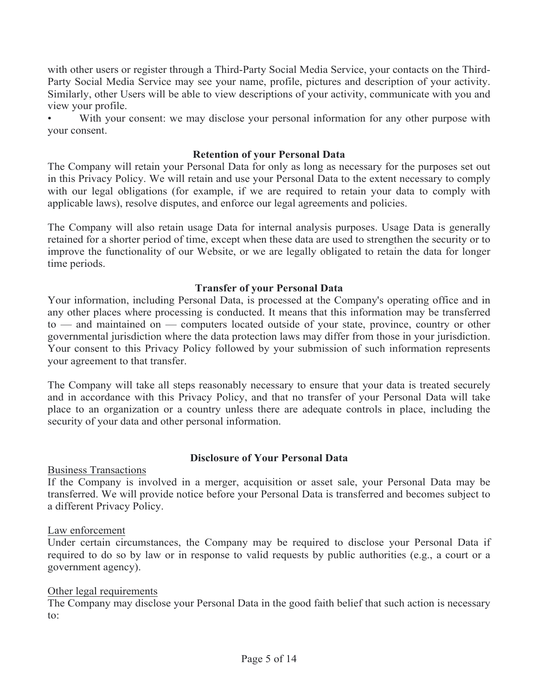with other users or register through a Third-Party Social Media Service, your contacts on the Third-Party Social Media Service may see your name, profile, pictures and description of your activity. Similarly, other Users will be able to view descriptions of your activity, communicate with you and view your profile.

With your consent: we may disclose your personal information for any other purpose with your consent.

#### **Retention of your Personal Data**

The Company will retain your Personal Data for only as long as necessary for the purposes set out in this Privacy Policy. We will retain and use your Personal Data to the extent necessary to comply with our legal obligations (for example, if we are required to retain your data to comply with applicable laws), resolve disputes, and enforce our legal agreements and policies.

The Company will also retain usage Data for internal analysis purposes. Usage Data is generally retained for a shorter period of time, except when these data are used to strengthen the security or to improve the functionality of our Website, or we are legally obligated to retain the data for longer time periods.

#### **Transfer of your Personal Data**

Your information, including Personal Data, is processed at the Company's operating office and in any other places where processing is conducted. It means that this information may be transferred to — and maintained on — computers located outside of your state, province, country or other governmental jurisdiction where the data protection laws may differ from those in your jurisdiction. Your consent to this Privacy Policy followed by your submission of such information represents your agreement to that transfer.

The Company will take all steps reasonably necessary to ensure that your data is treated securely and in accordance with this Privacy Policy, and that no transfer of your Personal Data will take place to an organization or a country unless there are adequate controls in place, including the security of your data and other personal information.

#### **Disclosure of Your Personal Data**

Business Transactions

If the Company is involved in a merger, acquisition or asset sale, your Personal Data may be transferred. We will provide notice before your Personal Data is transferred and becomes subject to a different Privacy Policy.

#### Law enforcement

Under certain circumstances, the Company may be required to disclose your Personal Data if required to do so by law or in response to valid requests by public authorities (e.g., a court or a government agency).

#### Other legal requirements

The Company may disclose your Personal Data in the good faith belief that such action is necessary to: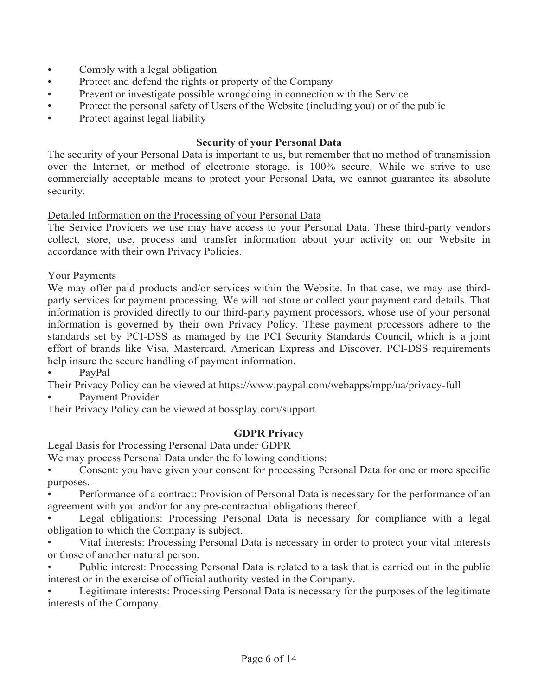- Comply with a legal obligation
- Protect and defend the rights or property of the Company
- Prevent or investigate possible wrongdoing in connection with the Service
- Protect the personal safety of Users of the Website (including you) or of the public
- Protect against legal liability

#### **Security of your Personal Data**

The security of your Personal Data is important to us, but remember that no method of transmission over the Internet, or method of electronic storage, is 100% secure. While we strive to use commercially acceptable means to protect your Personal Data, we cannot guarantee its absolute security.

## Detailed Information on the Processing of your Personal Data

The Service Providers we use may have access to your Personal Data. These third-party vendors collect, store, use, process and transfer information about your activity on our Website in accordance with their own Privacy Policies.

Your Payments

We may offer paid products and/or services within the Website. In that case, we may use thirdparty services for payment processing. We will not store or collect your payment card details. That information is provided directly to our third-party payment processors, whose use of your personal information is governed by their own Privacy Policy. These payment processors adhere to the standards set by PCI-DSS as managed by the PCI Security Standards Council, which is a joint effort of brands like Visa, Mastercard, American Express and Discover. PCI-DSS requirements help insure the secure handling of payment information.

• PayPal

Their Privacy Policy can be viewed at https://www.paypal.com/webapps/mpp/ua/privacy-full

Payment Provider

Their Privacy Policy can be viewed at bossplay.com/support.

## **GDPR Privacy**

Legal Basis for Processing Personal Data under GDPR

We may process Personal Data under the following conditions:

• Consent: you have given your consent for processing Personal Data for one or more specific purposes.

• Performance of a contract: Provision of Personal Data is necessary for the performance of an agreement with you and/or for any pre-contractual obligations thereof.

Legal obligations: Processing Personal Data is necessary for compliance with a legal obligation to which the Company is subject.

• Vital interests: Processing Personal Data is necessary in order to protect your vital interests or those of another natural person.

• Public interest: Processing Personal Data is related to a task that is carried out in the public interest or in the exercise of official authority vested in the Company.

• Legitimate interests: Processing Personal Data is necessary for the purposes of the legitimate interests of the Company.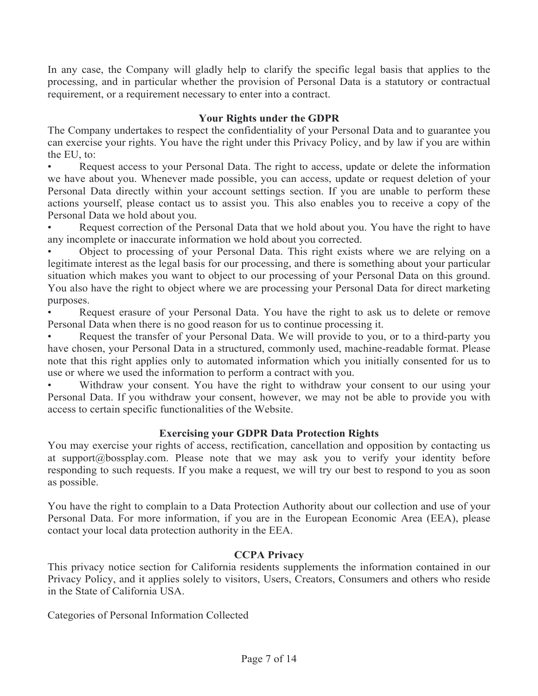In any case, the Company will gladly help to clarify the specific legal basis that applies to the processing, and in particular whether the provision of Personal Data is a statutory or contractual requirement, or a requirement necessary to enter into a contract.

## **Your Rights under the GDPR**

The Company undertakes to respect the confidentiality of your Personal Data and to guarantee you can exercise your rights. You have the right under this Privacy Policy, and by law if you are within the EU, to:

Request access to your Personal Data. The right to access, update or delete the information we have about you. Whenever made possible, you can access, update or request deletion of your Personal Data directly within your account settings section. If you are unable to perform these actions yourself, please contact us to assist you. This also enables you to receive a copy of the Personal Data we hold about you.

Request correction of the Personal Data that we hold about you. You have the right to have any incomplete or inaccurate information we hold about you corrected.

• Object to processing of your Personal Data. This right exists where we are relying on a legitimate interest as the legal basis for our processing, and there is something about your particular situation which makes you want to object to our processing of your Personal Data on this ground. You also have the right to object where we are processing your Personal Data for direct marketing purposes.

• Request erasure of your Personal Data. You have the right to ask us to delete or remove Personal Data when there is no good reason for us to continue processing it.

• Request the transfer of your Personal Data. We will provide to you, or to a third-party you have chosen, your Personal Data in a structured, commonly used, machine-readable format. Please note that this right applies only to automated information which you initially consented for us to use or where we used the information to perform a contract with you.

Withdraw your consent. You have the right to withdraw your consent to our using your Personal Data. If you withdraw your consent, however, we may not be able to provide you with access to certain specific functionalities of the Website.

## **Exercising your GDPR Data Protection Rights**

You may exercise your rights of access, rectification, cancellation and opposition by contacting us at support@bossplay.com. Please note that we may ask you to verify your identity before responding to such requests. If you make a request, we will try our best to respond to you as soon as possible.

You have the right to complain to a Data Protection Authority about our collection and use of your Personal Data. For more information, if you are in the European Economic Area (EEA), please contact your local data protection authority in the EEA.

## **CCPA Privacy**

This privacy notice section for California residents supplements the information contained in our Privacy Policy, and it applies solely to visitors, Users, Creators, Consumers and others who reside in the State of California USA.

Categories of Personal Information Collected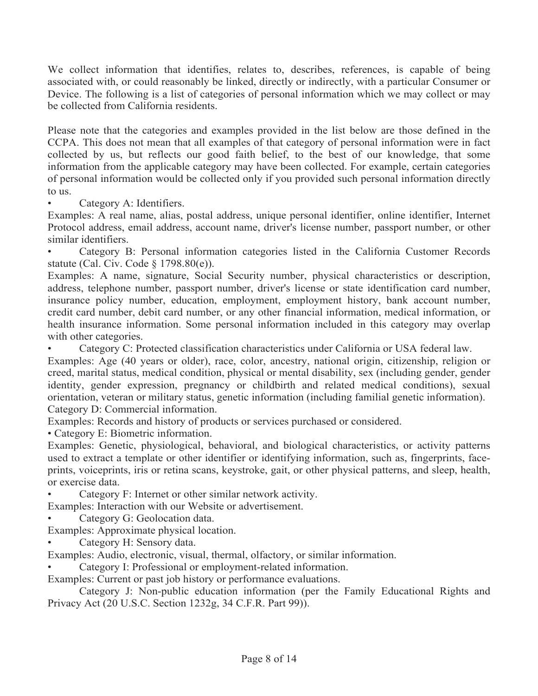We collect information that identifies, relates to, describes, references, is capable of being associated with, or could reasonably be linked, directly or indirectly, with a particular Consumer or Device. The following is a list of categories of personal information which we may collect or may be collected from California residents.

Please note that the categories and examples provided in the list below are those defined in the CCPA. This does not mean that all examples of that category of personal information were in fact collected by us, but reflects our good faith belief, to the best of our knowledge, that some information from the applicable category may have been collected. For example, certain categories of personal information would be collected only if you provided such personal information directly to us.

Category A: Identifiers.

Examples: A real name, alias, postal address, unique personal identifier, online identifier, Internet Protocol address, email address, account name, driver's license number, passport number, or other similar identifiers.

• Category B: Personal information categories listed in the California Customer Records statute (Cal. Civ. Code § 1798.80(e)).

Examples: A name, signature, Social Security number, physical characteristics or description, address, telephone number, passport number, driver's license or state identification card number, insurance policy number, education, employment, employment history, bank account number, credit card number, debit card number, or any other financial information, medical information, or health insurance information. Some personal information included in this category may overlap with other categories.

• Category C: Protected classification characteristics under California or USA federal law.

Examples: Age (40 years or older), race, color, ancestry, national origin, citizenship, religion or creed, marital status, medical condition, physical or mental disability, sex (including gender, gender identity, gender expression, pregnancy or childbirth and related medical conditions), sexual orientation, veteran or military status, genetic information (including familial genetic information). Category D: Commercial information.

Examples: Records and history of products or services purchased or considered.

• Category E: Biometric information.

Examples: Genetic, physiological, behavioral, and biological characteristics, or activity patterns used to extract a template or other identifier or identifying information, such as, fingerprints, faceprints, voiceprints, iris or retina scans, keystroke, gait, or other physical patterns, and sleep, health, or exercise data.

• Category F: Internet or other similar network activity.

Examples: Interaction with our Website or advertisement.

• Category G: Geolocation data.

Examples: Approximate physical location.

• Category H: Sensory data.

Examples: Audio, electronic, visual, thermal, olfactory, or similar information.

• Category I: Professional or employment-related information.

Examples: Current or past job history or performance evaluations.

Category J: Non-public education information (per the Family Educational Rights and Privacy Act (20 U.S.C. Section 1232g, 34 C.F.R. Part 99)).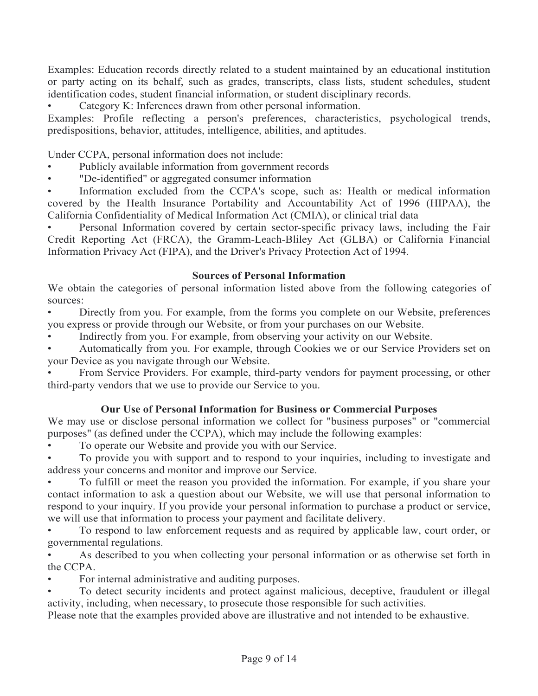Examples: Education records directly related to a student maintained by an educational institution or party acting on its behalf, such as grades, transcripts, class lists, student schedules, student identification codes, student financial information, or student disciplinary records.

• Category K: Inferences drawn from other personal information.

Examples: Profile reflecting a person's preferences, characteristics, psychological trends, predispositions, behavior, attitudes, intelligence, abilities, and aptitudes.

Under CCPA, personal information does not include:

- Publicly available information from government records
- "De-identified" or aggregated consumer information

Information excluded from the CCPA's scope, such as: Health or medical information covered by the Health Insurance Portability and Accountability Act of 1996 (HIPAA), the California Confidentiality of Medical Information Act (CMIA), or clinical trial data

• Personal Information covered by certain sector-specific privacy laws, including the Fair Credit Reporting Act (FRCA), the Gramm-Leach-Bliley Act (GLBA) or California Financial Information Privacy Act (FIPA), and the Driver's Privacy Protection Act of 1994.

#### **Sources of Personal Information**

We obtain the categories of personal information listed above from the following categories of sources:

• Directly from you. For example, from the forms you complete on our Website, preferences you express or provide through our Website, or from your purchases on our Website.

• Indirectly from you. For example, from observing your activity on our Website.

• Automatically from you. For example, through Cookies we or our Service Providers set on your Device as you navigate through our Website.

• From Service Providers. For example, third-party vendors for payment processing, or other third-party vendors that we use to provide our Service to you.

## **Our Use of Personal Information for Business or Commercial Purposes**

We may use or disclose personal information we collect for "business purposes" or "commercial purposes" (as defined under the CCPA), which may include the following examples:

• To operate our Website and provide you with our Service.

• To provide you with support and to respond to your inquiries, including to investigate and address your concerns and monitor and improve our Service.

• To fulfill or meet the reason you provided the information. For example, if you share your contact information to ask a question about our Website, we will use that personal information to respond to your inquiry. If you provide your personal information to purchase a product or service, we will use that information to process your payment and facilitate delivery.

• To respond to law enforcement requests and as required by applicable law, court order, or governmental regulations.

As described to you when collecting your personal information or as otherwise set forth in the CCPA.

• For internal administrative and auditing purposes.

• To detect security incidents and protect against malicious, deceptive, fraudulent or illegal activity, including, when necessary, to prosecute those responsible for such activities.

Please note that the examples provided above are illustrative and not intended to be exhaustive.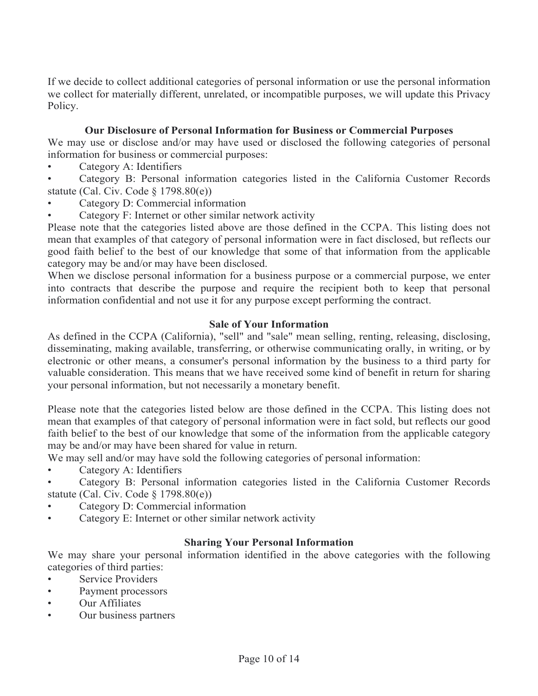If we decide to collect additional categories of personal information or use the personal information we collect for materially different, unrelated, or incompatible purposes, we will update this Privacy Policy.

## **Our Disclosure of Personal Information for Business or Commercial Purposes**

We may use or disclose and/or may have used or disclosed the following categories of personal information for business or commercial purposes:

Category A: Identifiers

• Category B: Personal information categories listed in the California Customer Records statute (Cal. Civ. Code § 1798.80(e))

• Category D: Commercial information

• Category F: Internet or other similar network activity

Please note that the categories listed above are those defined in the CCPA. This listing does not mean that examples of that category of personal information were in fact disclosed, but reflects our good faith belief to the best of our knowledge that some of that information from the applicable category may be and/or may have been disclosed.

When we disclose personal information for a business purpose or a commercial purpose, we enter into contracts that describe the purpose and require the recipient both to keep that personal information confidential and not use it for any purpose except performing the contract.

## **Sale of Your Information**

As defined in the CCPA (California), "sell" and "sale" mean selling, renting, releasing, disclosing, disseminating, making available, transferring, or otherwise communicating orally, in writing, or by electronic or other means, a consumer's personal information by the business to a third party for valuable consideration. This means that we have received some kind of benefit in return for sharing your personal information, but not necessarily a monetary benefit.

Please note that the categories listed below are those defined in the CCPA. This listing does not mean that examples of that category of personal information were in fact sold, but reflects our good faith belief to the best of our knowledge that some of the information from the applicable category may be and/or may have been shared for value in return.

We may sell and/or may have sold the following categories of personal information:

- Category A: Identifiers
- Category B: Personal information categories listed in the California Customer Records statute (Cal. Civ. Code § 1798.80(e))
- Category D: Commercial information
- Category E: Internet or other similar network activity

## **Sharing Your Personal Information**

We may share your personal information identified in the above categories with the following categories of third parties:

- Service Providers
- Payment processors
- Our Affiliates
- Our business partners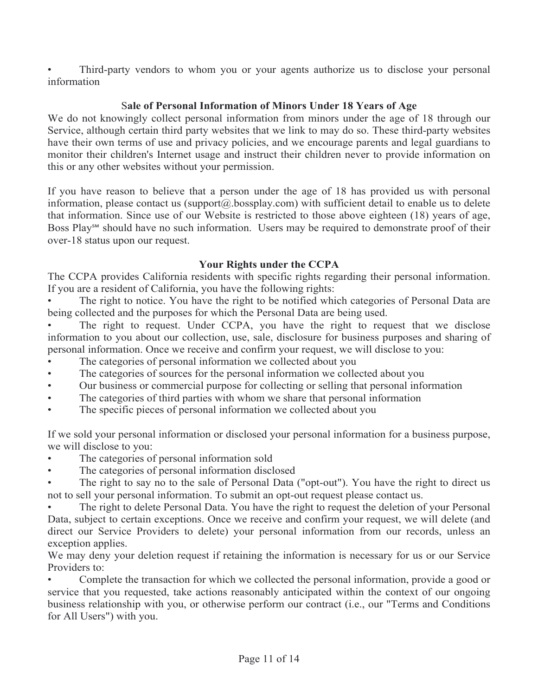Third-party vendors to whom you or your agents authorize us to disclose your personal information

## S**ale of Personal Information of Minors Under 18 Years of Age**

We do not knowingly collect personal information from minors under the age of 18 through our Service, although certain third party websites that we link to may do so. These third-party websites have their own terms of use and privacy policies, and we encourage parents and legal guardians to monitor their children's Internet usage and instruct their children never to provide information on this or any other websites without your permission.

If you have reason to believe that a person under the age of 18 has provided us with personal information, please contact us (support $(a)$ ) bossplay.com) with sufficient detail to enable us to delete that information. Since use of our Website is restricted to those above eighteen (18) years of age, Boss Play℠ should have no such information. Users may be required to demonstrate proof of their over-18 status upon our request.

#### **Your Rights under the CCPA**

The CCPA provides California residents with specific rights regarding their personal information. If you are a resident of California, you have the following rights:

The right to notice. You have the right to be notified which categories of Personal Data are being collected and the purposes for which the Personal Data are being used.

The right to request. Under CCPA, you have the right to request that we disclose information to you about our collection, use, sale, disclosure for business purposes and sharing of personal information. Once we receive and confirm your request, we will disclose to you:

- The categories of personal information we collected about you
- The categories of sources for the personal information we collected about you
- Our business or commercial purpose for collecting or selling that personal information
- The categories of third parties with whom we share that personal information
- The specific pieces of personal information we collected about you

If we sold your personal information or disclosed your personal information for a business purpose, we will disclose to you:

- The categories of personal information sold
- The categories of personal information disclosed

The right to say no to the sale of Personal Data ("opt-out"). You have the right to direct us not to sell your personal information. To submit an opt-out request please contact us.

The right to delete Personal Data. You have the right to request the deletion of your Personal Data, subject to certain exceptions. Once we receive and confirm your request, we will delete (and direct our Service Providers to delete) your personal information from our records, unless an exception applies.

We may deny your deletion request if retaining the information is necessary for us or our Service Providers to:

• Complete the transaction for which we collected the personal information, provide a good or service that you requested, take actions reasonably anticipated within the context of our ongoing business relationship with you, or otherwise perform our contract (i.e., our "Terms and Conditions for All Users") with you.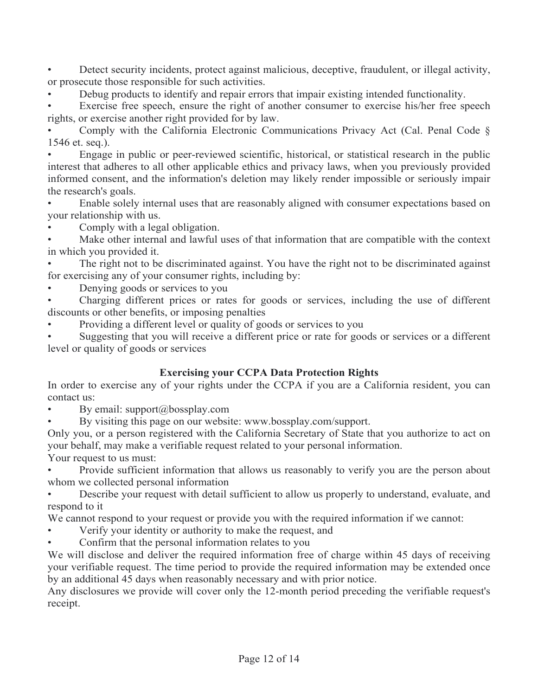• Detect security incidents, protect against malicious, deceptive, fraudulent, or illegal activity, or prosecute those responsible for such activities.

• Debug products to identify and repair errors that impair existing intended functionality.

Exercise free speech, ensure the right of another consumer to exercise his/her free speech rights, or exercise another right provided for by law.

• Comply with the California Electronic Communications Privacy Act (Cal. Penal Code § 1546 et. seq.).

• Engage in public or peer-reviewed scientific, historical, or statistical research in the public interest that adheres to all other applicable ethics and privacy laws, when you previously provided informed consent, and the information's deletion may likely render impossible or seriously impair the research's goals.

• Enable solely internal uses that are reasonably aligned with consumer expectations based on your relationship with us.

• Comply with a legal obligation.

Make other internal and lawful uses of that information that are compatible with the context in which you provided it.

The right not to be discriminated against. You have the right not to be discriminated against for exercising any of your consumer rights, including by:

• Denying goods or services to you

• Charging different prices or rates for goods or services, including the use of different discounts or other benefits, or imposing penalties

• Providing a different level or quality of goods or services to you

Suggesting that you will receive a different price or rate for goods or services or a different level or quality of goods or services

## **Exercising your CCPA Data Protection Rights**

In order to exercise any of your rights under the CCPA if you are a California resident, you can contact us:

• By email: support@bossplay.com

• By visiting this page on our website: www.bossplay.com/support.

Only you, or a person registered with the California Secretary of State that you authorize to act on your behalf, may make a verifiable request related to your personal information.

Your request to us must:

• Provide sufficient information that allows us reasonably to verify you are the person about whom we collected personal information

• Describe your request with detail sufficient to allow us properly to understand, evaluate, and respond to it

We cannot respond to your request or provide you with the required information if we cannot:

• Verify your identity or authority to make the request, and

• Confirm that the personal information relates to you

We will disclose and deliver the required information free of charge within 45 days of receiving your verifiable request. The time period to provide the required information may be extended once by an additional 45 days when reasonably necessary and with prior notice.

Any disclosures we provide will cover only the 12-month period preceding the verifiable request's receipt.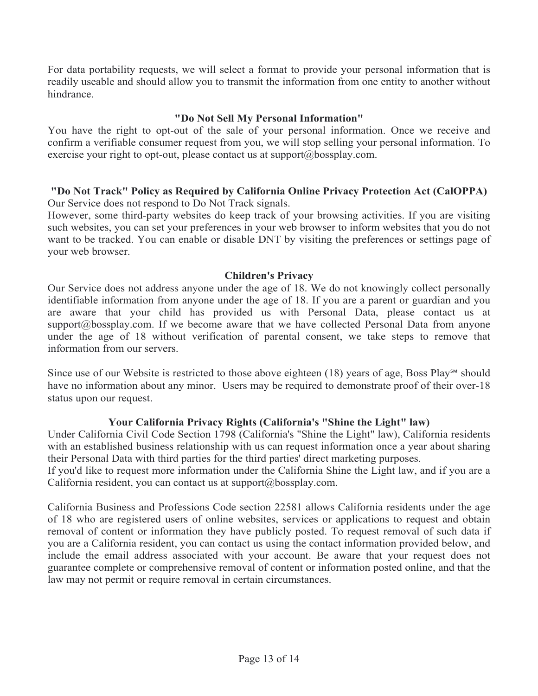For data portability requests, we will select a format to provide your personal information that is readily useable and should allow you to transmit the information from one entity to another without hindrance.

#### **"Do Not Sell My Personal Information"**

You have the right to opt-out of the sale of your personal information. Once we receive and confirm a verifiable consumer request from you, we will stop selling your personal information. To exercise your right to opt-out, please contact us at support $(a)$ bossplay.com.

#### **"Do Not Track" Policy as Required by California Online Privacy Protection Act (CalOPPA)** Our Service does not respond to Do Not Track signals.

However, some third-party websites do keep track of your browsing activities. If you are visiting such websites, you can set your preferences in your web browser to inform websites that you do not want to be tracked. You can enable or disable DNT by visiting the preferences or settings page of your web browser.

#### **Children's Privacy**

Our Service does not address anyone under the age of 18. We do not knowingly collect personally identifiable information from anyone under the age of 18. If you are a parent or guardian and you are aware that your child has provided us with Personal Data, please contact us at support@bossplay.com. If we become aware that we have collected Personal Data from anyone under the age of 18 without verification of parental consent, we take steps to remove that information from our servers.

Since use of our Website is restricted to those above eighteen  $(18)$  years of age, Boss Plays<sup>M</sup> should have no information about any minor. Users may be required to demonstrate proof of their over-18 status upon our request.

## **Your California Privacy Rights (California's "Shine the Light" law)**

Under California Civil Code Section 1798 (California's "Shine the Light" law), California residents with an established business relationship with us can request information once a year about sharing their Personal Data with third parties for the third parties' direct marketing purposes.

If you'd like to request more information under the California Shine the Light law, and if you are a California resident, you can contact us at support@bossplay.com.

California Business and Professions Code section 22581 allows California residents under the age of 18 who are registered users of online websites, services or applications to request and obtain removal of content or information they have publicly posted. To request removal of such data if you are a California resident, you can contact us using the contact information provided below, and include the email address associated with your account. Be aware that your request does not guarantee complete or comprehensive removal of content or information posted online, and that the law may not permit or require removal in certain circumstances.